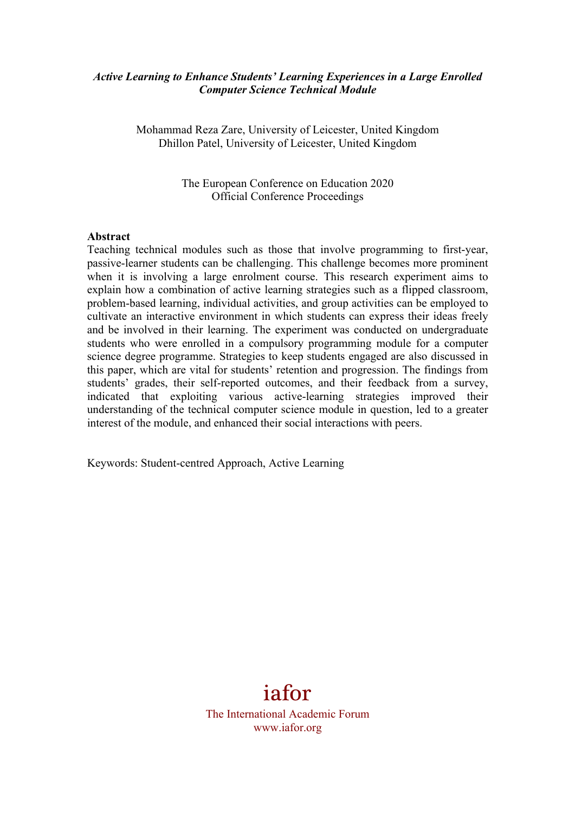#### *Active Learning to Enhance Students' Learning Experiences in a Large Enrolled Computer Science Technical Module*

Mohammad Reza Zare, University of Leicester, United Kingdom Dhillon Patel, University of Leicester, United Kingdom

> The European Conference on Education 2020 Official Conference Proceedings

#### **Abstract**

Teaching technical modules such as those that involve programming to first-year, passive-learner students can be challenging. This challenge becomes more prominent when it is involving a large enrolment course. This research experiment aims to explain how a combination of active learning strategies such as a flipped classroom, problem-based learning, individual activities, and group activities can be employed to cultivate an interactive environment in which students can express their ideas freely and be involved in their learning. The experiment was conducted on undergraduate students who were enrolled in a compulsory programming module for a computer science degree programme. Strategies to keep students engaged are also discussed in this paper, which are vital for students' retention and progression. The findings from students' grades, their self-reported outcomes, and their feedback from a survey, indicated that exploiting various active-learning strategies improved their understanding of the technical computer science module in question, led to a greater interest of the module, and enhanced their social interactions with peers.

Keywords: Student-centred Approach, Active Learning

# iafor

The International Academic Forum www.iafor.org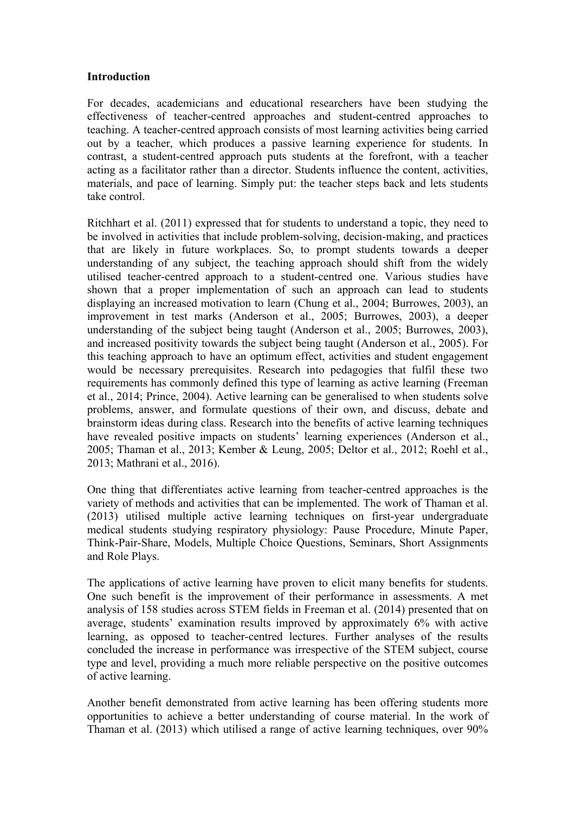#### **Introduction**

For decades, academicians and educational researchers have been studying the effectiveness of teacher-centred approaches and student-centred approaches to teaching. A teacher-centred approach consists of most learning activities being carried out by a teacher, which produces a passive learning experience for students. In contrast, a student-centred approach puts students at the forefront, with a teacher acting as a facilitator rather than a director. Students influence the content, activities, materials, and pace of learning. Simply put: the teacher steps back and lets students take control.

Ritchhart et al. (2011) expressed that for students to understand a topic, they need to be involved in activities that include problem-solving, decision-making, and practices that are likely in future workplaces. So, to prompt students towards a deeper understanding of any subject, the teaching approach should shift from the widely utilised teacher-centred approach to a student-centred one. Various studies have shown that a proper implementation of such an approach can lead to students displaying an increased motivation to learn (Chung et al., 2004; Burrowes, 2003), an improvement in test marks (Anderson et al., 2005; Burrowes, 2003), a deeper understanding of the subject being taught (Anderson et al., 2005; Burrowes, 2003), and increased positivity towards the subject being taught (Anderson et al., 2005). For this teaching approach to have an optimum effect, activities and student engagement would be necessary prerequisites. Research into pedagogies that fulfil these two requirements has commonly defined this type of learning as active learning (Freeman et al., 2014; Prince, 2004). Active learning can be generalised to when students solve problems, answer, and formulate questions of their own, and discuss, debate and brainstorm ideas during class. Research into the benefits of active learning techniques have revealed positive impacts on students' learning experiences (Anderson et al., 2005; Thaman et al., 2013; Kember & Leung, 2005; Deltor et al., 2012; Roehl et al., 2013; Mathrani et al., 2016).

One thing that differentiates active learning from teacher-centred approaches is the variety of methods and activities that can be implemented. The work of Thaman et al. (2013) utilised multiple active learning techniques on first-year undergraduate medical students studying respiratory physiology: Pause Procedure, Minute Paper, Think-Pair-Share, Models, Multiple Choice Questions, Seminars, Short Assignments and Role Plays.

The applications of active learning have proven to elicit many benefits for students. One such benefit is the improvement of their performance in assessments. A met analysis of 158 studies across STEM fields in Freeman et al. (2014) presented that on average, students' examination results improved by approximately 6% with active learning, as opposed to teacher-centred lectures. Further analyses of the results concluded the increase in performance was irrespective of the STEM subject, course type and level, providing a much more reliable perspective on the positive outcomes of active learning.

Another benefit demonstrated from active learning has been offering students more opportunities to achieve a better understanding of course material. In the work of Thaman et al. (2013) which utilised a range of active learning techniques, over 90%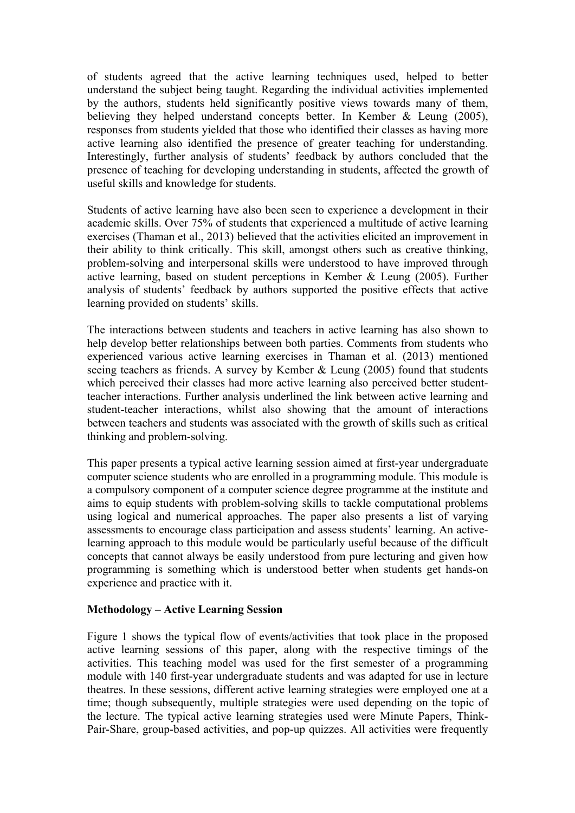of students agreed that the active learning techniques used, helped to better understand the subject being taught. Regarding the individual activities implemented by the authors, students held significantly positive views towards many of them, believing they helped understand concepts better. In Kember & Leung (2005), responses from students yielded that those who identified their classes as having more active learning also identified the presence of greater teaching for understanding. Interestingly, further analysis of students' feedback by authors concluded that the presence of teaching for developing understanding in students, affected the growth of useful skills and knowledge for students.

Students of active learning have also been seen to experience a development in their academic skills. Over 75% of students that experienced a multitude of active learning exercises (Thaman et al., 2013) believed that the activities elicited an improvement in their ability to think critically. This skill, amongst others such as creative thinking, problem-solving and interpersonal skills were understood to have improved through active learning, based on student perceptions in Kember & Leung (2005). Further analysis of students' feedback by authors supported the positive effects that active learning provided on students' skills.

The interactions between students and teachers in active learning has also shown to help develop better relationships between both parties. Comments from students who experienced various active learning exercises in Thaman et al. (2013) mentioned seeing teachers as friends. A survey by Kember & Leung (2005) found that students which perceived their classes had more active learning also perceived better studentteacher interactions. Further analysis underlined the link between active learning and student-teacher interactions, whilst also showing that the amount of interactions between teachers and students was associated with the growth of skills such as critical thinking and problem-solving.

This paper presents a typical active learning session aimed at first-year undergraduate computer science students who are enrolled in a programming module. This module is a compulsory component of a computer science degree programme at the institute and aims to equip students with problem-solving skills to tackle computational problems using logical and numerical approaches. The paper also presents a list of varying assessments to encourage class participation and assess students' learning. An activelearning approach to this module would be particularly useful because of the difficult concepts that cannot always be easily understood from pure lecturing and given how programming is something which is understood better when students get hands-on experience and practice with it.

#### **Methodology – Active Learning Session**

Figure 1 shows the typical flow of events/activities that took place in the proposed active learning sessions of this paper, along with the respective timings of the activities. This teaching model was used for the first semester of a programming module with 140 first-year undergraduate students and was adapted for use in lecture theatres. In these sessions, different active learning strategies were employed one at a time; though subsequently, multiple strategies were used depending on the topic of the lecture. The typical active learning strategies used were Minute Papers, Think-Pair-Share, group-based activities, and pop-up quizzes. All activities were frequently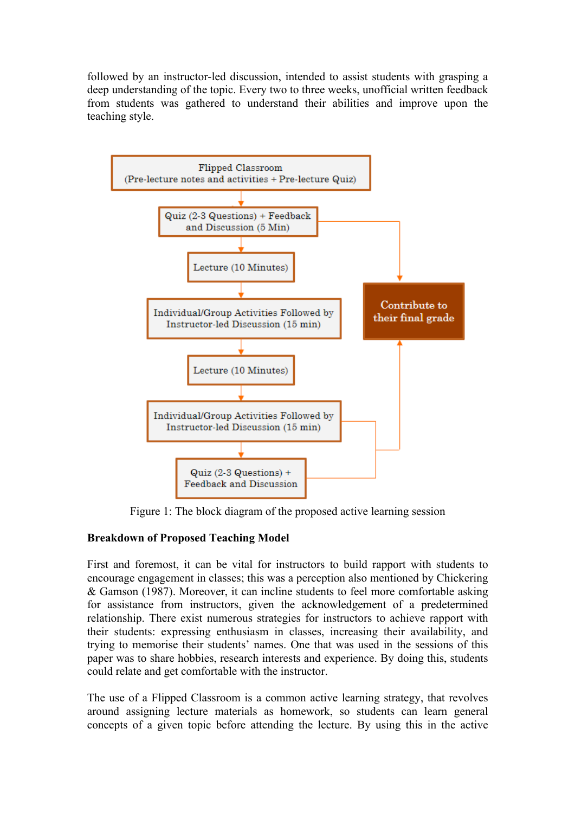followed by an instructor-led discussion, intended to assist students with grasping a deep understanding of the topic. Every two to three weeks, unofficial written feedback from students was gathered to understand their abilities and improve upon the teaching style.



Figure 1: The block diagram of the proposed active learning session

## **Breakdown of Proposed Teaching Model**

First and foremost, it can be vital for instructors to build rapport with students to encourage engagement in classes; this was a perception also mentioned by Chickering & Gamson (1987). Moreover, it can incline students to feel more comfortable asking for assistance from instructors, given the acknowledgement of a predetermined relationship. There exist numerous strategies for instructors to achieve rapport with their students: expressing enthusiasm in classes, increasing their availability, and trying to memorise their students' names. One that was used in the sessions of this paper was to share hobbies, research interests and experience. By doing this, students could relate and get comfortable with the instructor.

The use of a Flipped Classroom is a common active learning strategy, that revolves around assigning lecture materials as homework, so students can learn general concepts of a given topic before attending the lecture. By using this in the active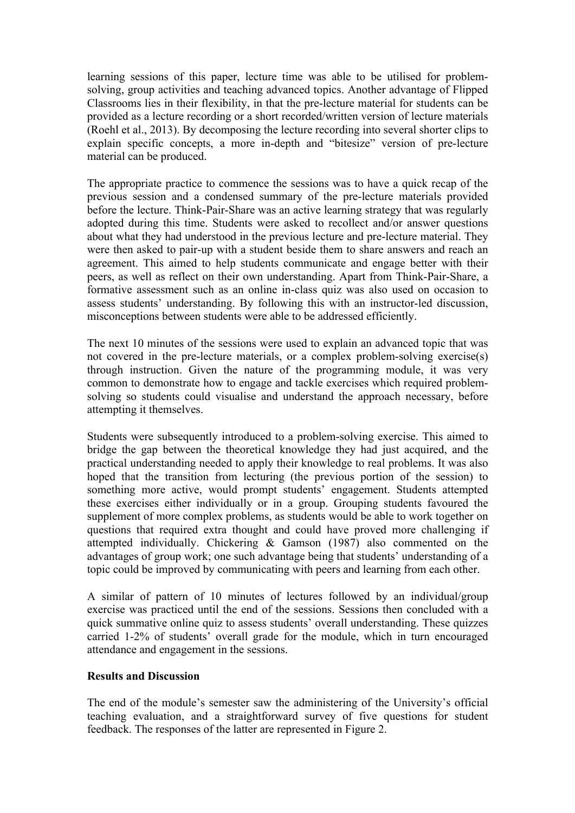learning sessions of this paper, lecture time was able to be utilised for problemsolving, group activities and teaching advanced topics. Another advantage of Flipped Classrooms lies in their flexibility, in that the pre-lecture material for students can be provided as a lecture recording or a short recorded/written version of lecture materials (Roehl et al., 2013). By decomposing the lecture recording into several shorter clips to explain specific concepts, a more in-depth and "bitesize" version of pre-lecture material can be produced.

The appropriate practice to commence the sessions was to have a quick recap of the previous session and a condensed summary of the pre-lecture materials provided before the lecture. Think-Pair-Share was an active learning strategy that was regularly adopted during this time. Students were asked to recollect and/or answer questions about what they had understood in the previous lecture and pre-lecture material. They were then asked to pair-up with a student beside them to share answers and reach an agreement. This aimed to help students communicate and engage better with their peers, as well as reflect on their own understanding. Apart from Think-Pair-Share, a formative assessment such as an online in-class quiz was also used on occasion to assess students' understanding. By following this with an instructor-led discussion, misconceptions between students were able to be addressed efficiently.

The next 10 minutes of the sessions were used to explain an advanced topic that was not covered in the pre-lecture materials, or a complex problem-solving exercise(s) through instruction. Given the nature of the programming module, it was very common to demonstrate how to engage and tackle exercises which required problemsolving so students could visualise and understand the approach necessary, before attempting it themselves.

Students were subsequently introduced to a problem-solving exercise. This aimed to bridge the gap between the theoretical knowledge they had just acquired, and the practical understanding needed to apply their knowledge to real problems. It was also hoped that the transition from lecturing (the previous portion of the session) to something more active, would prompt students' engagement. Students attempted these exercises either individually or in a group. Grouping students favoured the supplement of more complex problems, as students would be able to work together on questions that required extra thought and could have proved more challenging if attempted individually. Chickering & Gamson (1987) also commented on the advantages of group work; one such advantage being that students' understanding of a topic could be improved by communicating with peers and learning from each other.

A similar of pattern of 10 minutes of lectures followed by an individual/group exercise was practiced until the end of the sessions. Sessions then concluded with a quick summative online quiz to assess students' overall understanding. These quizzes carried 1-2% of students' overall grade for the module, which in turn encouraged attendance and engagement in the sessions.

#### **Results and Discussion**

The end of the module's semester saw the administering of the University's official teaching evaluation, and a straightforward survey of five questions for student feedback. The responses of the latter are represented in Figure 2.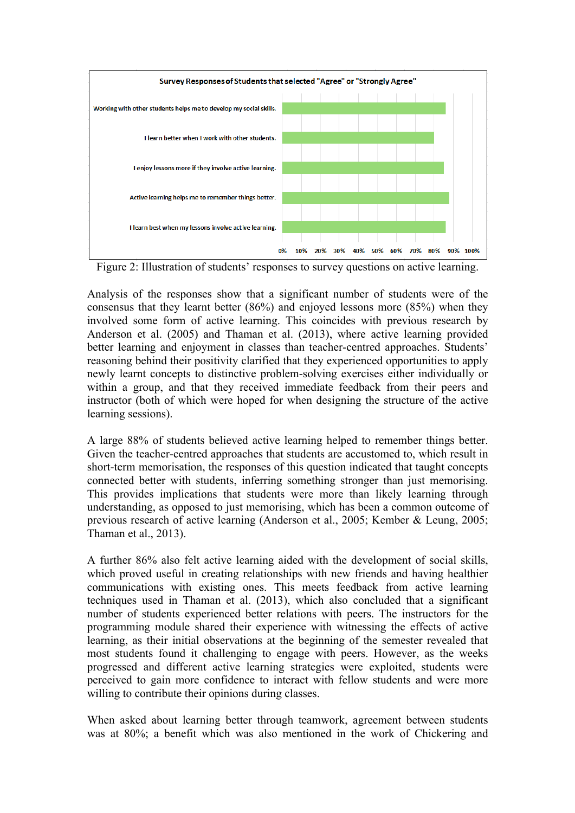

Figure 2: Illustration of students' responses to survey questions on active learning.

Analysis of the responses show that a significant number of students were of the consensus that they learnt better (86%) and enjoyed lessons more (85%) when they involved some form of active learning. This coincides with previous research by Anderson et al. (2005) and Thaman et al. (2013), where active learning provided better learning and enjoyment in classes than teacher-centred approaches. Students' reasoning behind their positivity clarified that they experienced opportunities to apply newly learnt concepts to distinctive problem-solving exercises either individually or within a group, and that they received immediate feedback from their peers and instructor (both of which were hoped for when designing the structure of the active learning sessions).

A large 88% of students believed active learning helped to remember things better. Given the teacher-centred approaches that students are accustomed to, which result in short-term memorisation, the responses of this question indicated that taught concepts connected better with students, inferring something stronger than just memorising. This provides implications that students were more than likely learning through understanding, as opposed to just memorising, which has been a common outcome of previous research of active learning (Anderson et al., 2005; Kember & Leung, 2005; Thaman et al., 2013).

A further 86% also felt active learning aided with the development of social skills, which proved useful in creating relationships with new friends and having healthier communications with existing ones. This meets feedback from active learning techniques used in Thaman et al. (2013), which also concluded that a significant number of students experienced better relations with peers. The instructors for the programming module shared their experience with witnessing the effects of active learning, as their initial observations at the beginning of the semester revealed that most students found it challenging to engage with peers. However, as the weeks progressed and different active learning strategies were exploited, students were perceived to gain more confidence to interact with fellow students and were more willing to contribute their opinions during classes.

When asked about learning better through teamwork, agreement between students was at 80%; a benefit which was also mentioned in the work of Chickering and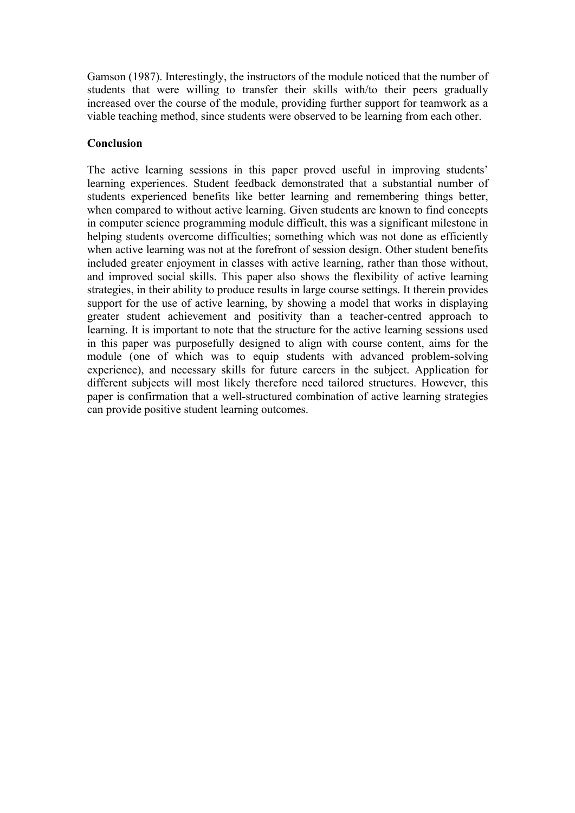Gamson (1987). Interestingly, the instructors of the module noticed that the number of students that were willing to transfer their skills with/to their peers gradually increased over the course of the module, providing further support for teamwork as a viable teaching method, since students were observed to be learning from each other.

### **Conclusion**

The active learning sessions in this paper proved useful in improving students' learning experiences. Student feedback demonstrated that a substantial number of students experienced benefits like better learning and remembering things better, when compared to without active learning. Given students are known to find concepts in computer science programming module difficult, this was a significant milestone in helping students overcome difficulties; something which was not done as efficiently when active learning was not at the forefront of session design. Other student benefits included greater enjoyment in classes with active learning, rather than those without, and improved social skills. This paper also shows the flexibility of active learning strategies, in their ability to produce results in large course settings. It therein provides support for the use of active learning, by showing a model that works in displaying greater student achievement and positivity than a teacher-centred approach to learning. It is important to note that the structure for the active learning sessions used in this paper was purposefully designed to align with course content, aims for the module (one of which was to equip students with advanced problem-solving experience), and necessary skills for future careers in the subject. Application for different subjects will most likely therefore need tailored structures. However, this paper is confirmation that a well-structured combination of active learning strategies can provide positive student learning outcomes.